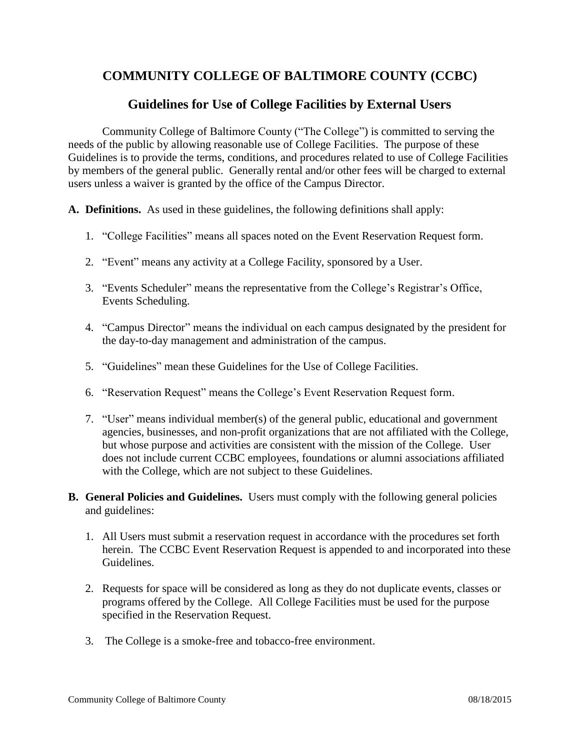# **COMMUNITY COLLEGE OF BALTIMORE COUNTY (CCBC)**

# **Guidelines for Use of College Facilities by External Users**

Community College of Baltimore County ("The College") is committed to serving the needs of the public by allowing reasonable use of College Facilities. The purpose of these Guidelines is to provide the terms, conditions, and procedures related to use of College Facilities by members of the general public. Generally rental and/or other fees will be charged to external users unless a waiver is granted by the office of the Campus Director.

**A. Definitions.** As used in these guidelines, the following definitions shall apply:

- 1. "College Facilities" means all spaces noted on the Event Reservation Request form.
- 2. "Event" means any activity at a College Facility, sponsored by a User.
- 3. "Events Scheduler" means the representative from the College's Registrar's Office, Events Scheduling.
- 4. "Campus Director" means the individual on each campus designated by the president for the day-to-day management and administration of the campus.
- 5. "Guidelines" mean these Guidelines for the Use of College Facilities.
- 6. "Reservation Request" means the College's Event Reservation Request form.
- 7. "User" means individual member(s) of the general public, educational and government agencies, businesses, and non-profit organizations that are not affiliated with the College, but whose purpose and activities are consistent with the mission of the College. User does not include current CCBC employees, foundations or alumni associations affiliated with the College, which are not subject to these Guidelines.
- **B. General Policies and Guidelines.** Users must comply with the following general policies and guidelines:
	- 1. All Users must submit a reservation request in accordance with the procedures set forth herein. The CCBC Event Reservation Request is appended to and incorporated into these Guidelines.
	- 2. Requests for space will be considered as long as they do not duplicate events, classes or programs offered by the College. All College Facilities must be used for the purpose specified in the Reservation Request.
	- 3. The College is a smoke-free and tobacco-free environment.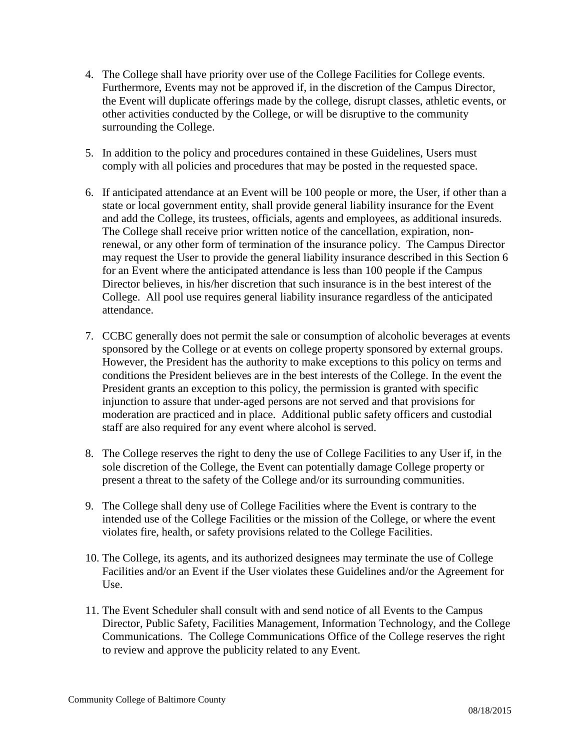- 4. The College shall have priority over use of the College Facilities for College events. Furthermore, Events may not be approved if, in the discretion of the Campus Director, the Event will duplicate offerings made by the college, disrupt classes, athletic events, or other activities conducted by the College, or will be disruptive to the community surrounding the College.
- 5. In addition to the policy and procedures contained in these Guidelines, Users must comply with all policies and procedures that may be posted in the requested space.
- 6. If anticipated attendance at an Event will be 100 people or more, the User, if other than a state or local government entity, shall provide general liability insurance for the Event and add the College, its trustees, officials, agents and employees, as additional insureds. The College shall receive prior written notice of the cancellation, expiration, nonrenewal, or any other form of termination of the insurance policy. The Campus Director may request the User to provide the general liability insurance described in this Section 6 for an Event where the anticipated attendance is less than 100 people if the Campus Director believes, in his/her discretion that such insurance is in the best interest of the College. All pool use requires general liability insurance regardless of the anticipated attendance.
- 7. CCBC generally does not permit the sale or consumption of alcoholic beverages at events sponsored by the College or at events on college property sponsored by external groups. However, the President has the authority to make exceptions to this policy on terms and conditions the President believes are in the best interests of the College. In the event the President grants an exception to this policy, the permission is granted with specific injunction to assure that under-aged persons are not served and that provisions for moderation are practiced and in place. Additional public safety officers and custodial staff are also required for any event where alcohol is served.
- 8. The College reserves the right to deny the use of College Facilities to any User if, in the sole discretion of the College, the Event can potentially damage College property or present a threat to the safety of the College and/or its surrounding communities.
- 9. The College shall deny use of College Facilities where the Event is contrary to the intended use of the College Facilities or the mission of the College, or where the event violates fire, health, or safety provisions related to the College Facilities.
- 10. The College, its agents, and its authorized designees may terminate the use of College Facilities and/or an Event if the User violates these Guidelines and/or the Agreement for Use.
- 11. The Event Scheduler shall consult with and send notice of all Events to the Campus Director, Public Safety, Facilities Management, Information Technology, and the College Communications. The College Communications Office of the College reserves the right to review and approve the publicity related to any Event.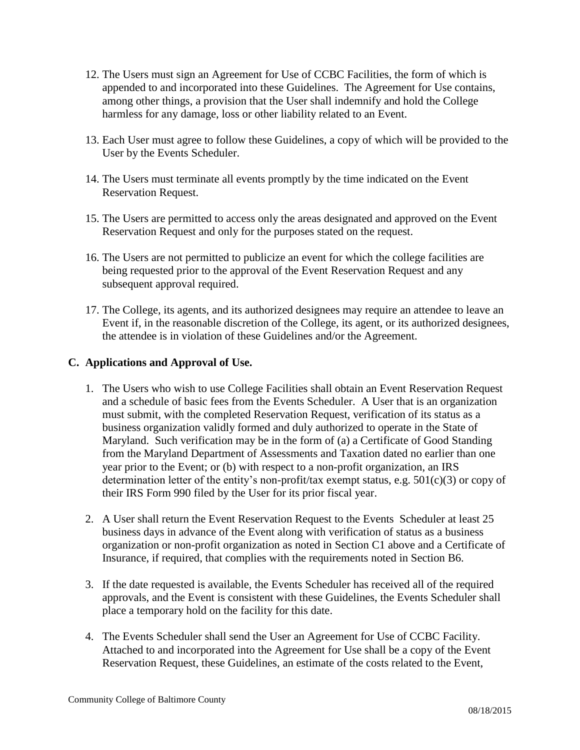- 12. The Users must sign an Agreement for Use of CCBC Facilities, the form of which is appended to and incorporated into these Guidelines. The Agreement for Use contains, among other things, a provision that the User shall indemnify and hold the College harmless for any damage, loss or other liability related to an Event.
- 13. Each User must agree to follow these Guidelines, a copy of which will be provided to the User by the Events Scheduler.
- 14. The Users must terminate all events promptly by the time indicated on the Event Reservation Request.
- 15. The Users are permitted to access only the areas designated and approved on the Event Reservation Request and only for the purposes stated on the request.
- 16. The Users are not permitted to publicize an event for which the college facilities are being requested prior to the approval of the Event Reservation Request and any subsequent approval required.
- 17. The College, its agents, and its authorized designees may require an attendee to leave an Event if, in the reasonable discretion of the College, its agent, or its authorized designees, the attendee is in violation of these Guidelines and/or the Agreement.

## **C. Applications and Approval of Use.**

- 1. The Users who wish to use College Facilities shall obtain an Event Reservation Request and a schedule of basic fees from the Events Scheduler. A User that is an organization must submit, with the completed Reservation Request, verification of its status as a business organization validly formed and duly authorized to operate in the State of Maryland. Such verification may be in the form of (a) a Certificate of Good Standing from the Maryland Department of Assessments and Taxation dated no earlier than one year prior to the Event; or (b) with respect to a non-profit organization, an IRS determination letter of the entity's non-profit/tax exempt status, e.g.  $501(c)(3)$  or copy of their IRS Form 990 filed by the User for its prior fiscal year.
- 2. A User shall return the Event Reservation Request to the Events Scheduler at least 25 business days in advance of the Event along with verification of status as a business organization or non-profit organization as noted in Section C1 above and a Certificate of Insurance, if required, that complies with the requirements noted in Section B6.
- 3. If the date requested is available, the Events Scheduler has received all of the required approvals, and the Event is consistent with these Guidelines, the Events Scheduler shall place a temporary hold on the facility for this date.
- 4. The Events Scheduler shall send the User an Agreement for Use of CCBC Facility. Attached to and incorporated into the Agreement for Use shall be a copy of the Event Reservation Request, these Guidelines, an estimate of the costs related to the Event,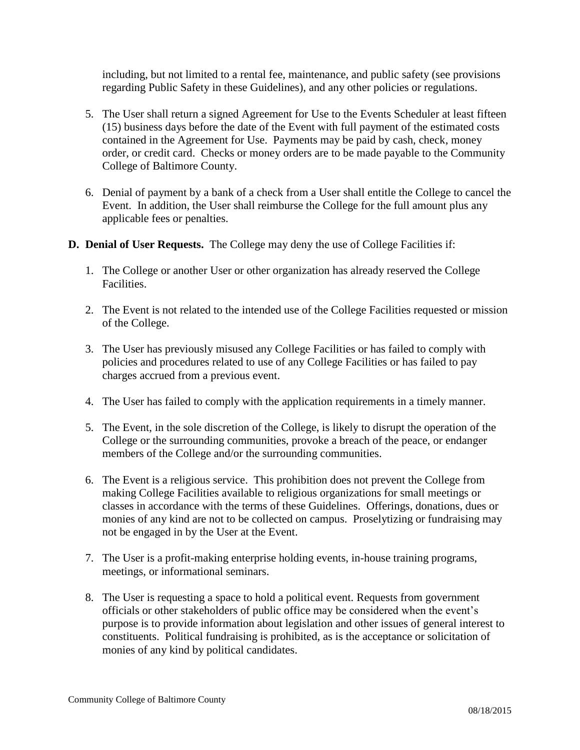including, but not limited to a rental fee, maintenance, and public safety (see provisions regarding Public Safety in these Guidelines), and any other policies or regulations.

- 5. The User shall return a signed Agreement for Use to the Events Scheduler at least fifteen (15) business days before the date of the Event with full payment of the estimated costs contained in the Agreement for Use. Payments may be paid by cash, check, money order, or credit card. Checks or money orders are to be made payable to the Community College of Baltimore County.
- 6. Denial of payment by a bank of a check from a User shall entitle the College to cancel the Event. In addition, the User shall reimburse the College for the full amount plus any applicable fees or penalties.
- **D. Denial of User Requests.** The College may deny the use of College Facilities if:
	- 1. The College or another User or other organization has already reserved the College Facilities.
	- 2. The Event is not related to the intended use of the College Facilities requested or mission of the College.
	- 3. The User has previously misused any College Facilities or has failed to comply with policies and procedures related to use of any College Facilities or has failed to pay charges accrued from a previous event.
	- 4. The User has failed to comply with the application requirements in a timely manner.
	- 5. The Event, in the sole discretion of the College, is likely to disrupt the operation of the College or the surrounding communities, provoke a breach of the peace, or endanger members of the College and/or the surrounding communities.
	- 6. The Event is a religious service. This prohibition does not prevent the College from making College Facilities available to religious organizations for small meetings or classes in accordance with the terms of these Guidelines. Offerings, donations, dues or monies of any kind are not to be collected on campus. Proselytizing or fundraising may not be engaged in by the User at the Event.
	- 7. The User is a profit-making enterprise holding events, in-house training programs, meetings, or informational seminars.
	- 8. The User is requesting a space to hold a political event. Requests from government officials or other stakeholders of public office may be considered when the event's purpose is to provide information about legislation and other issues of general interest to constituents. Political fundraising is prohibited, as is the acceptance or solicitation of monies of any kind by political candidates.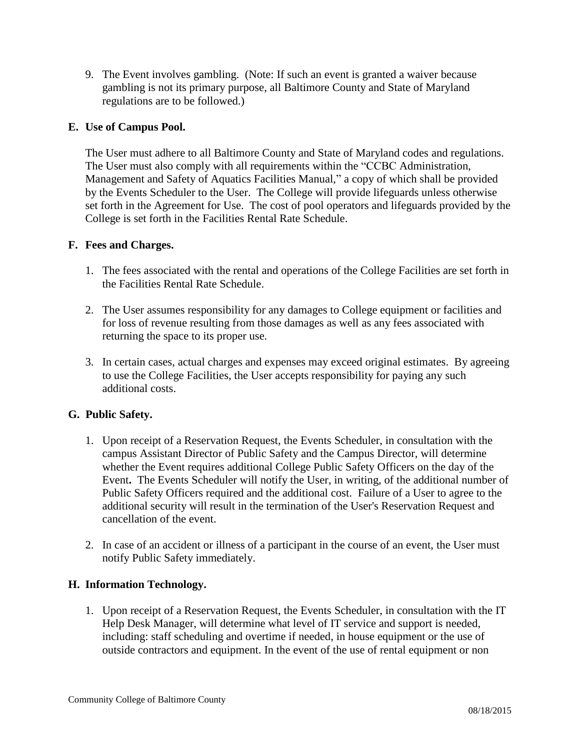9. The Event involves gambling. (Note: If such an event is granted a waiver because gambling is not its primary purpose, all Baltimore County and State of Maryland regulations are to be followed.)

### **E. Use of Campus Pool.**

The User must adhere to all Baltimore County and State of Maryland codes and regulations. The User must also comply with all requirements within the "CCBC Administration, Management and Safety of Aquatics Facilities Manual," a copy of which shall be provided by the Events Scheduler to the User. The College will provide lifeguards unless otherwise set forth in the Agreement for Use. The cost of pool operators and lifeguards provided by the College is set forth in the Facilities Rental Rate Schedule.

#### **F. Fees and Charges.**

- 1. The fees associated with the rental and operations of the College Facilities are set forth in the Facilities Rental Rate Schedule.
- 2. The User assumes responsibility for any damages to College equipment or facilities and for loss of revenue resulting from those damages as well as any fees associated with returning the space to its proper use.
- 3. In certain cases, actual charges and expenses may exceed original estimates. By agreeing to use the College Facilities, the User accepts responsibility for paying any such additional costs.

#### **G. Public Safety.**

- 1. Upon receipt of a Reservation Request, the Events Scheduler, in consultation with the campus Assistant Director of Public Safety and the Campus Director, will determine whether the Event requires additional College Public Safety Officers on the day of the Event**.** The Events Scheduler will notify the User, in writing, of the additional number of Public Safety Officers required and the additional cost. Failure of a User to agree to the additional security will result in the termination of the User's Reservation Request and cancellation of the event.
- 2. In case of an accident or illness of a participant in the course of an event, the User must notify Public Safety immediately.

#### **H. Information Technology.**

1. Upon receipt of a Reservation Request, the Events Scheduler, in consultation with the IT Help Desk Manager, will determine what level of IT service and support is needed, including: staff scheduling and overtime if needed, in house equipment or the use of outside contractors and equipment. In the event of the use of rental equipment or non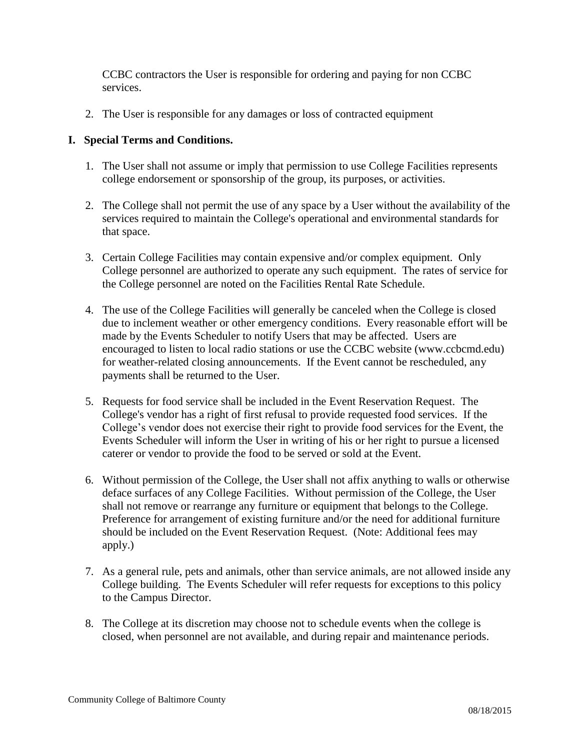CCBC contractors the User is responsible for ordering and paying for non CCBC services.

2. The User is responsible for any damages or loss of contracted equipment

### **I. Special Terms and Conditions.**

- 1. The User shall not assume or imply that permission to use College Facilities represents college endorsement or sponsorship of the group, its purposes, or activities.
- 2. The College shall not permit the use of any space by a User without the availability of the services required to maintain the College's operational and environmental standards for that space.
- 3. Certain College Facilities may contain expensive and/or complex equipment. Only College personnel are authorized to operate any such equipment. The rates of service for the College personnel are noted on the Facilities Rental Rate Schedule.
- 4. The use of the College Facilities will generally be canceled when the College is closed due to inclement weather or other emergency conditions. Every reasonable effort will be made by the Events Scheduler to notify Users that may be affected. Users are encouraged to listen to local radio stations or use the CCBC website (www.ccbcmd.edu) for weather-related closing announcements. If the Event cannot be rescheduled, any payments shall be returned to the User.
- 5. Requests for food service shall be included in the Event Reservation Request. The College's vendor has a right of first refusal to provide requested food services. If the College's vendor does not exercise their right to provide food services for the Event, the Events Scheduler will inform the User in writing of his or her right to pursue a licensed caterer or vendor to provide the food to be served or sold at the Event.
- 6. Without permission of the College, the User shall not affix anything to walls or otherwise deface surfaces of any College Facilities. Without permission of the College, the User shall not remove or rearrange any furniture or equipment that belongs to the College. Preference for arrangement of existing furniture and/or the need for additional furniture should be included on the Event Reservation Request. (Note: Additional fees may apply.)
- 7. As a general rule, pets and animals, other than service animals, are not allowed inside any College building. The Events Scheduler will refer requests for exceptions to this policy to the Campus Director.
- 8. The College at its discretion may choose not to schedule events when the college is closed, when personnel are not available, and during repair and maintenance periods.